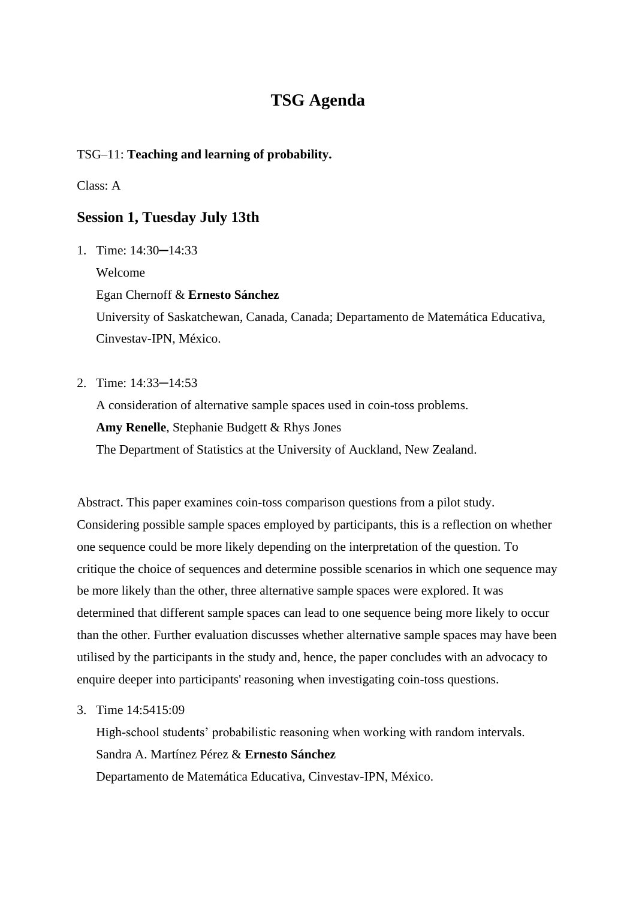# **TSG Agenda**

## TSG–11: **Teaching and learning of probability.**

## Class: A

# **Session 1, Tuesday July 13th**

1. Time: 14:30─14:33

Welcome

Egan Chernoff & **Ernesto Sánchez**

University of Saskatchewan, Canada, Canada; Departamento de Matemática Educativa, Cinvestav-IPN, México.

2. Time: 14:33─14:53

A consideration of alternative sample spaces used in coin-toss problems.

**Amy Renelle**, Stephanie Budgett & Rhys Jones

The Department of Statistics at the University of Auckland, New Zealand.

Abstract. This paper examines coin-toss comparison questions from a pilot study. Considering possible sample spaces employed by participants, this is a reflection on whether one sequence could be more likely depending on the interpretation of the question. To critique the choice of sequences and determine possible scenarios in which one sequence may be more likely than the other, three alternative sample spaces were explored. It was determined that different sample spaces can lead to one sequence being more likely to occur than the other. Further evaluation discusses whether alternative sample spaces may have been utilised by the participants in the study and, hence, the paper concludes with an advocacy to enquire deeper into participants' reasoning when investigating coin-toss questions.

3. Time 14:5415:09

High-school students' probabilistic reasoning when working with random intervals. Sandra A. Martínez Pérez & **Ernesto Sánchez** Departamento de Matemática Educativa, Cinvestav-IPN, México.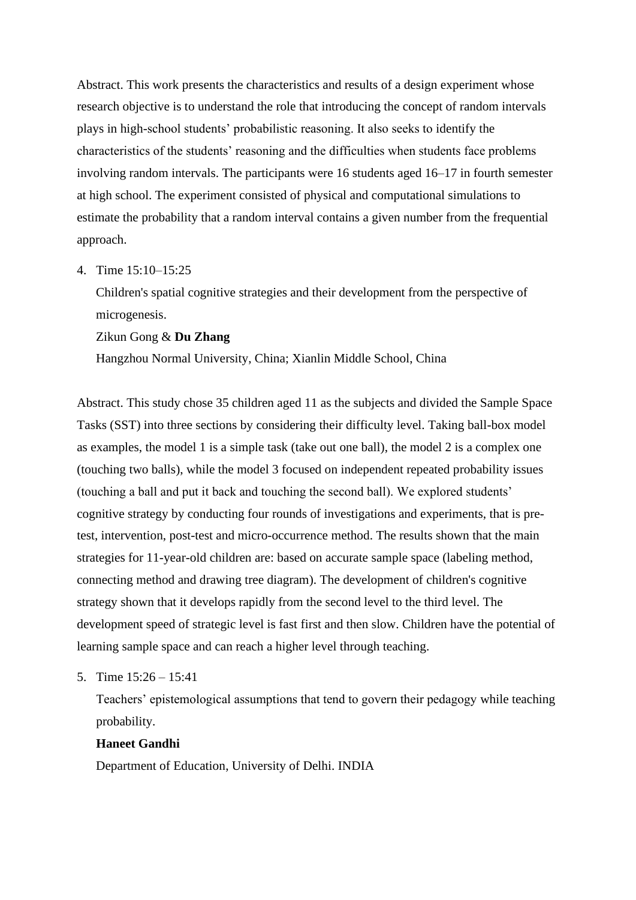Abstract. This work presents the characteristics and results of a design experiment whose research objective is to understand the role that introducing the concept of random intervals plays in high-school students' probabilistic reasoning. It also seeks to identify the characteristics of the students' reasoning and the difficulties when students face problems involving random intervals. The participants were 16 students aged 16–17 in fourth semester at high school. The experiment consisted of physical and computational simulations to estimate the probability that a random interval contains a given number from the frequential approach.

4. Time 15:10–15:25

Children's spatial cognitive strategies and their development from the perspective of microgenesis.

#### Zikun Gong & **Du Zhang**

Hangzhou Normal University, China; Xianlin Middle School, China

Abstract. This study chose 35 children aged 11 as the subjects and divided the Sample Space Tasks (SST) into three sections by considering their difficulty level. Taking ball-box model as examples, the model 1 is a simple task (take out one ball), the model 2 is a complex one (touching two balls), while the model 3 focused on independent repeated probability issues (touching a ball and put it back and touching the second ball). We explored students' cognitive strategy by conducting four rounds of investigations and experiments, that is pretest, intervention, post-test and micro-occurrence method. The results shown that the main strategies for 11-year-old children are: based on accurate sample space (labeling method, connecting method and drawing tree diagram). The development of children's cognitive strategy shown that it develops rapidly from the second level to the third level. The development speed of strategic level is fast first and then slow. Children have the potential of learning sample space and can reach a higher level through teaching.

5. Time 15:26 – 15:41

Teachers' epistemological assumptions that tend to govern their pedagogy while teaching probability.

## **Haneet Gandhi**

Department of Education, University of Delhi. INDIA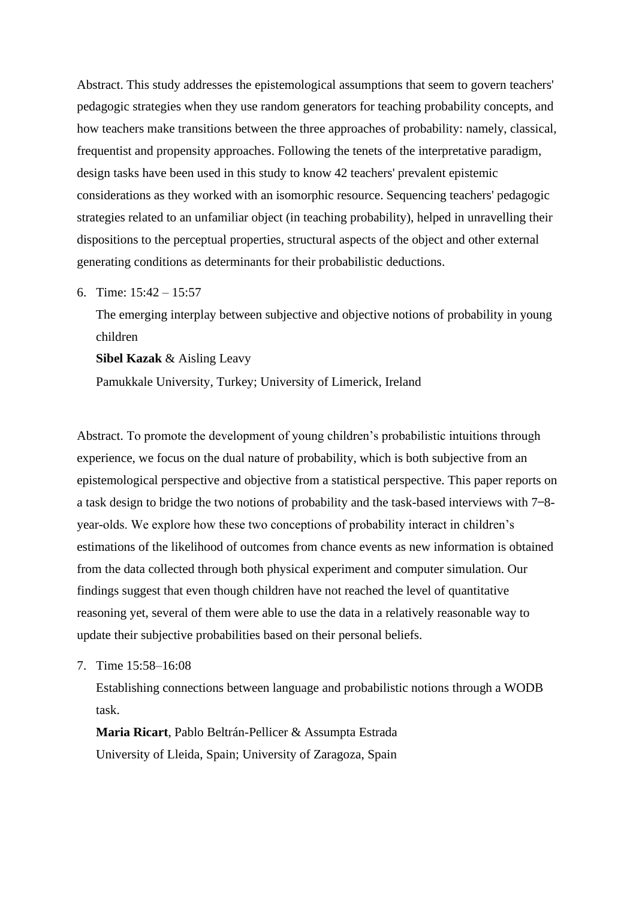Abstract. This study addresses the epistemological assumptions that seem to govern teachers' pedagogic strategies when they use random generators for teaching probability concepts, and how teachers make transitions between the three approaches of probability: namely, classical, frequentist and propensity approaches. Following the tenets of the interpretative paradigm, design tasks have been used in this study to know 42 teachers' prevalent epistemic considerations as they worked with an isomorphic resource. Sequencing teachers' pedagogic strategies related to an unfamiliar object (in teaching probability), helped in unravelling their dispositions to the perceptual properties, structural aspects of the object and other external generating conditions as determinants for their probabilistic deductions.

6. Time: 15:42 – 15:57

The emerging interplay between subjective and objective notions of probability in young children

**Sibel Kazak** & Aisling Leavy

Pamukkale University, Turkey; University of Limerick, Ireland

Abstract. To promote the development of young children's probabilistic intuitions through experience, we focus on the dual nature of probability, which is both subjective from an epistemological perspective and objective from a statistical perspective. This paper reports on a task design to bridge the two notions of probability and the task-based interviews with  $7 - 8$ year-olds. We explore how these two conceptions of probability interact in children's estimations of the likelihood of outcomes from chance events as new information is obtained from the data collected through both physical experiment and computer simulation. Our findings suggest that even though children have not reached the level of quantitative reasoning yet, several of them were able to use the data in a relatively reasonable way to update their subjective probabilities based on their personal beliefs.

7. Time 15:58–16:08

Establishing connections between language and probabilistic notions through a WODB task.

**Maria Ricart**, Pablo Beltrán-Pellicer & Assumpta Estrada University of Lleida, Spain; University of Zaragoza, Spain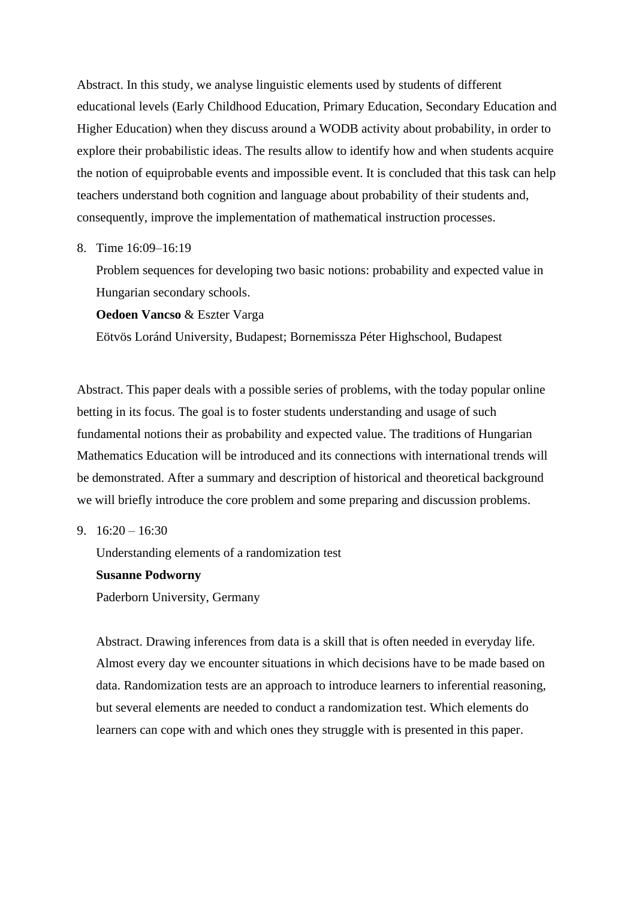Abstract. In this study, we analyse linguistic elements used by students of different educational levels (Early Childhood Education, Primary Education, Secondary Education and Higher Education) when they discuss around a WODB activity about probability, in order to explore their probabilistic ideas. The results allow to identify how and when students acquire the notion of equiprobable events and impossible event. It is concluded that this task can help teachers understand both cognition and language about probability of their students and, consequently, improve the implementation of mathematical instruction processes.

8. Time 16:09–16:19

Problem sequences for developing two basic notions: probability and expected value in Hungarian secondary schools.

**Oedoen Vancso** & Eszter Varga

Eötvös Loránd University, Budapest; Bornemissza Péter Highschool, Budapest

Abstract. This paper deals with a possible series of problems, with the today popular online betting in its focus. The goal is to foster students understanding and usage of such fundamental notions their as probability and expected value. The traditions of Hungarian Mathematics Education will be introduced and its connections with international trends will be demonstrated. After a summary and description of historical and theoretical background we will briefly introduce the core problem and some preparing and discussion problems.

9.  $16:20 - 16:30$ 

Understanding elements of a randomization test

#### **Susanne Podworny**

Paderborn University, Germany

Abstract. Drawing inferences from data is a skill that is often needed in everyday life. Almost every day we encounter situations in which decisions have to be made based on data. Randomization tests are an approach to introduce learners to inferential reasoning, but several elements are needed to conduct a randomization test. Which elements do learners can cope with and which ones they struggle with is presented in this paper.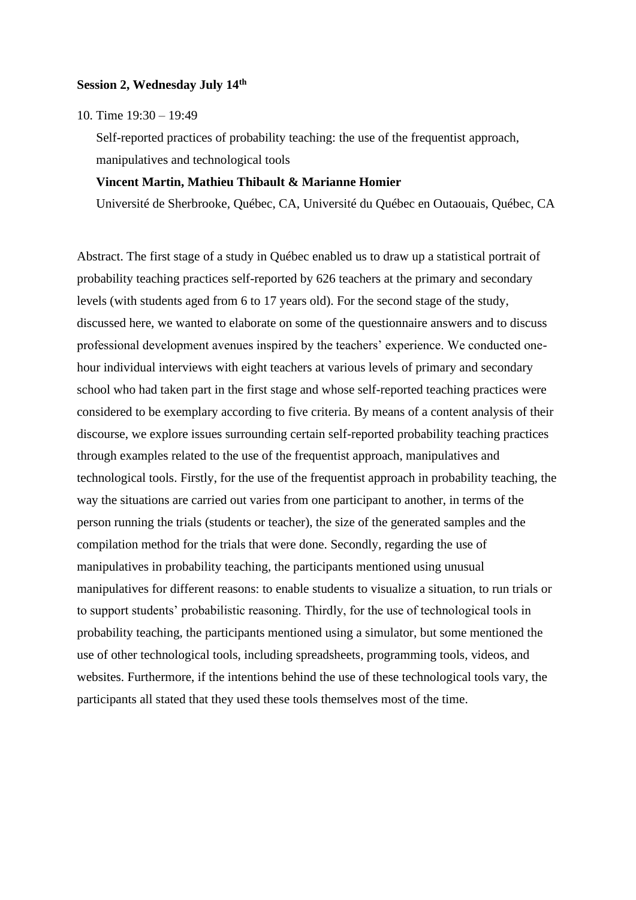#### **Session 2, Wednesday July 14th**

10. Time 19:30 – 19:49

Self-reported practices of probability teaching: the use of the frequentist approach, manipulatives and technological tools

## **Vincent Martin, Mathieu Thibault & Marianne Homier**

Université de Sherbrooke, Québec, CA, Université du Québec en Outaouais, Québec, CA

Abstract. The first stage of a study in Québec enabled us to draw up a statistical portrait of probability teaching practices self-reported by 626 teachers at the primary and secondary levels (with students aged from 6 to 17 years old). For the second stage of the study, discussed here, we wanted to elaborate on some of the questionnaire answers and to discuss professional development avenues inspired by the teachers' experience. We conducted onehour individual interviews with eight teachers at various levels of primary and secondary school who had taken part in the first stage and whose self-reported teaching practices were considered to be exemplary according to five criteria. By means of a content analysis of their discourse, we explore issues surrounding certain self-reported probability teaching practices through examples related to the use of the frequentist approach, manipulatives and technological tools. Firstly, for the use of the frequentist approach in probability teaching, the way the situations are carried out varies from one participant to another, in terms of the person running the trials (students or teacher), the size of the generated samples and the compilation method for the trials that were done. Secondly, regarding the use of manipulatives in probability teaching, the participants mentioned using unusual manipulatives for different reasons: to enable students to visualize a situation, to run trials or to support students' probabilistic reasoning. Thirdly, for the use of technological tools in probability teaching, the participants mentioned using a simulator, but some mentioned the use of other technological tools, including spreadsheets, programming tools, videos, and websites. Furthermore, if the intentions behind the use of these technological tools vary, the participants all stated that they used these tools themselves most of the time.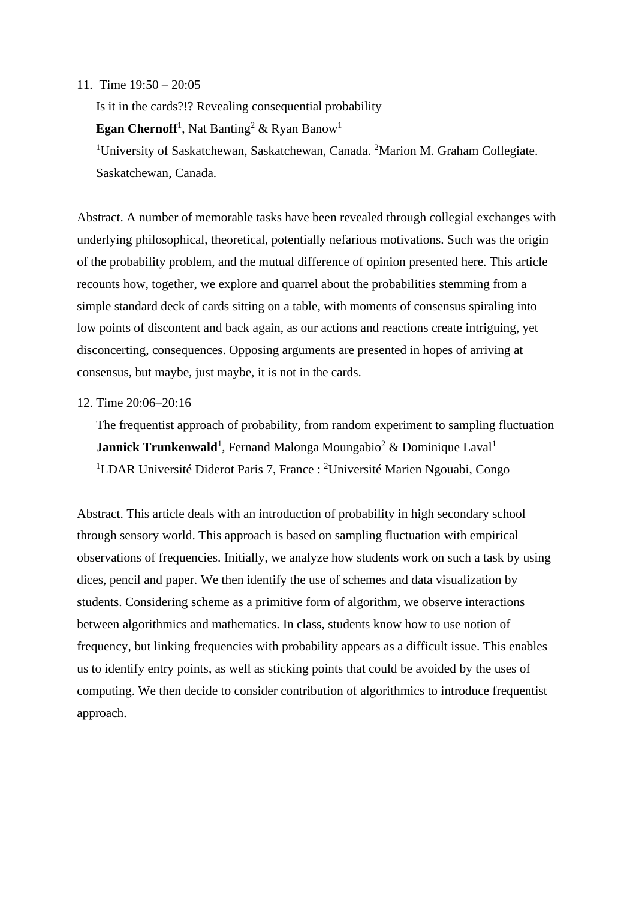#### 11. Time 19:50 – 20:05

Is it in the cards?!? Revealing consequential probability **Egan Chernoff<sup>1</sup>**, Nat Banting<sup>2</sup> & Ryan Banow<sup>1</sup> <sup>1</sup>University of Saskatchewan, Saskatchewan, Canada. <sup>2</sup>Marion M. Graham Collegiate. Saskatchewan, Canada.

Abstract. A number of memorable tasks have been revealed through collegial exchanges with underlying philosophical, theoretical, potentially nefarious motivations. Such was the origin of the probability problem, and the mutual difference of opinion presented here. This article recounts how, together, we explore and quarrel about the probabilities stemming from a simple standard deck of cards sitting on a table, with moments of consensus spiraling into low points of discontent and back again, as our actions and reactions create intriguing, yet disconcerting, consequences. Opposing arguments are presented in hopes of arriving at consensus, but maybe, just maybe, it is not in the cards.

### 12. Time 20:06–20:16

The frequentist approach of probability, from random experiment to sampling fluctuation **Jannick Trunkenwald**<sup>1</sup>, Fernand Malonga Moungabio<sup>2</sup> & Dominique Laval<sup>1</sup> <sup>1</sup>LDAR Université Diderot Paris 7, France : <sup>2</sup>Université Marien Ngouabi, Congo

Abstract. This article deals with an introduction of probability in high secondary school through sensory world. This approach is based on sampling fluctuation with empirical observations of frequencies. Initially, we analyze how students work on such a task by using dices, pencil and paper. We then identify the use of schemes and data visualization by students. Considering scheme as a primitive form of algorithm, we observe interactions between algorithmics and mathematics. In class, students know how to use notion of frequency, but linking frequencies with probability appears as a difficult issue. This enables us to identify entry points, as well as sticking points that could be avoided by the uses of computing. We then decide to consider contribution of algorithmics to introduce frequentist approach.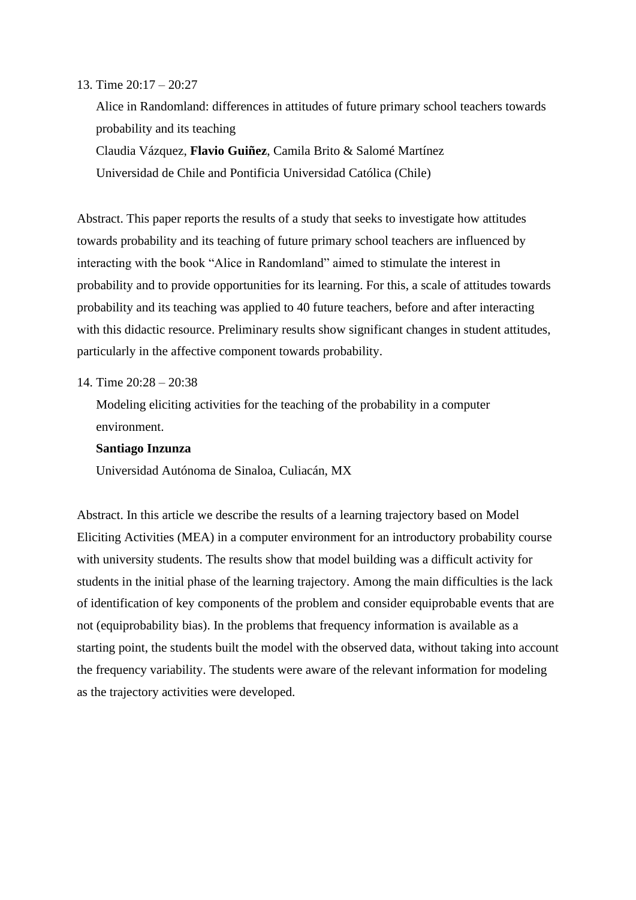#### 13. Time 20:17 – 20:27

Alice in Randomland: differences in attitudes of future primary school teachers towards probability and its teaching Claudia Vázquez, **Flavio Guiñez**, Camila Brito & Salomé Martínez Universidad de Chile and Pontificia Universidad Católica (Chile)

Abstract. This paper reports the results of a study that seeks to investigate how attitudes towards probability and its teaching of future primary school teachers are influenced by interacting with the book "Alice in Randomland" aimed to stimulate the interest in probability and to provide opportunities for its learning. For this, a scale of attitudes towards probability and its teaching was applied to 40 future teachers, before and after interacting with this didactic resource. Preliminary results show significant changes in student attitudes, particularly in the affective component towards probability.

## 14. Time  $20.28 - 20.38$

Modeling eliciting activities for the teaching of the probability in a computer environment.

### **Santiago Inzunza**

Universidad Autónoma de Sinaloa, Culiacán, MX

Abstract. In this article we describe the results of a learning trajectory based on Model Eliciting Activities (MEA) in a computer environment for an introductory probability course with university students. The results show that model building was a difficult activity for students in the initial phase of the learning trajectory. Among the main difficulties is the lack of identification of key components of the problem and consider equiprobable events that are not (equiprobability bias). In the problems that frequency information is available as a starting point, the students built the model with the observed data, without taking into account the frequency variability. The students were aware of the relevant information for modeling as the trajectory activities were developed.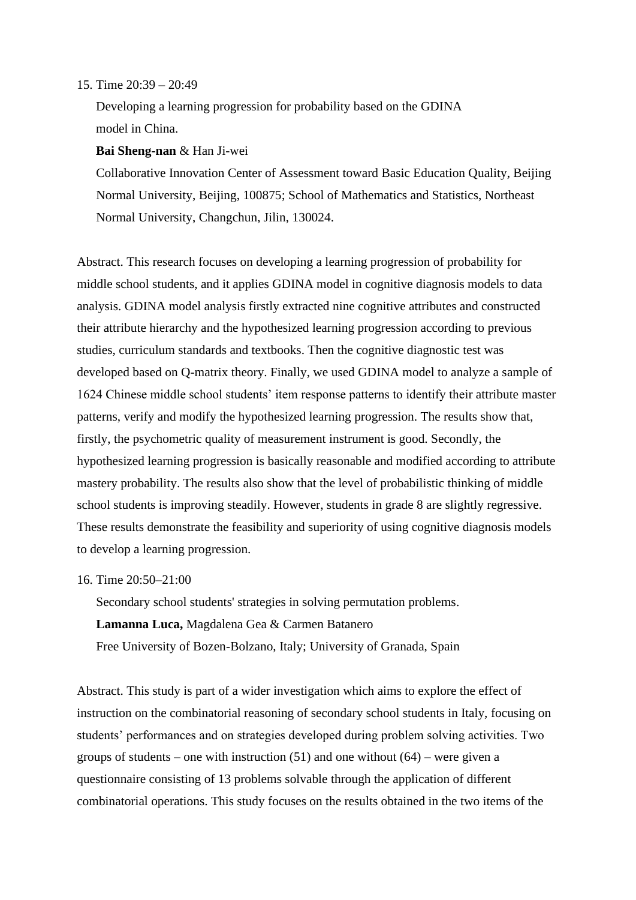#### 15. Time 20:39 – 20:49

Developing a learning progression for probability based on the GDINA model in China.

## **Bai Sheng-nan** & Han Ji-wei

Collaborative Innovation Center of Assessment toward Basic Education Quality, Beijing Normal University, Beijing, 100875; School of Mathematics and Statistics, Northeast Normal University, Changchun, Jilin, 130024.

Abstract. This research focuses on developing a learning progression of probability for middle school students, and it applies GDINA model in cognitive diagnosis models to data analysis. GDINA model analysis firstly extracted nine cognitive attributes and constructed their attribute hierarchy and the hypothesized learning progression according to previous studies, curriculum standards and textbooks. Then the cognitive diagnostic test was developed based on Q-matrix theory. Finally, we used GDINA model to analyze a sample of 1624 Chinese middle school students' item response patterns to identify their attribute master patterns, verify and modify the hypothesized learning progression. The results show that, firstly, the psychometric quality of measurement instrument is good. Secondly, the hypothesized learning progression is basically reasonable and modified according to attribute mastery probability. The results also show that the level of probabilistic thinking of middle school students is improving steadily. However, students in grade 8 are slightly regressive. These results demonstrate the feasibility and superiority of using cognitive diagnosis models to develop a learning progression.

## 16. Time 20:50–21:00

Secondary school students' strategies in solving permutation problems. **Lamanna Luca,** Magdalena Gea & Carmen Batanero Free University of Bozen-Bolzano, Italy; University of Granada, Spain

Abstract. This study is part of a wider investigation which aims to explore the effect of instruction on the combinatorial reasoning of secondary school students in Italy, focusing on students' performances and on strategies developed during problem solving activities. Two groups of students – one with instruction  $(51)$  and one without  $(64)$  – were given a questionnaire consisting of 13 problems solvable through the application of different combinatorial operations. This study focuses on the results obtained in the two items of the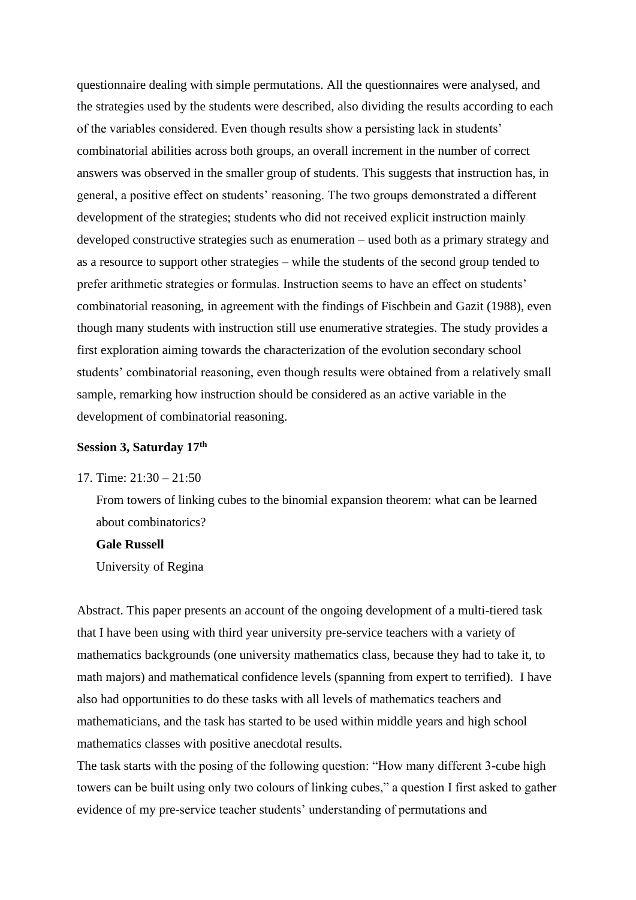questionnaire dealing with simple permutations. All the questionnaires were analysed, and the strategies used by the students were described, also dividing the results according to each of the variables considered. Even though results show a persisting lack in students' combinatorial abilities across both groups, an overall increment in the number of correct answers was observed in the smaller group of students. This suggests that instruction has, in general, a positive effect on students' reasoning. The two groups demonstrated a different development of the strategies; students who did not received explicit instruction mainly developed constructive strategies such as enumeration – used both as a primary strategy and as a resource to support other strategies – while the students of the second group tended to prefer arithmetic strategies or formulas. Instruction seems to have an effect on students' combinatorial reasoning, in agreement with the findings of Fischbein and Gazit (1988), even though many students with instruction still use enumerative strategies. The study provides a first exploration aiming towards the characterization of the evolution secondary school students' combinatorial reasoning, even though results were obtained from a relatively small sample, remarking how instruction should be considered as an active variable in the development of combinatorial reasoning.

#### **Session 3, Saturday 17th**

## 17. Time: 21:30 – 21:50

From towers of linking cubes to the binomial expansion theorem: what can be learned about combinatorics?

## **Gale Russell**

University of Regina

Abstract. This paper presents an account of the ongoing development of a multi-tiered task that I have been using with third year university pre-service teachers with a variety of mathematics backgrounds (one university mathematics class, because they had to take it, to math majors) and mathematical confidence levels (spanning from expert to terrified). I have also had opportunities to do these tasks with all levels of mathematics teachers and mathematicians, and the task has started to be used within middle years and high school mathematics classes with positive anecdotal results.

The task starts with the posing of the following question: "How many different 3-cube high towers can be built using only two colours of linking cubes," a question I first asked to gather evidence of my pre-service teacher students' understanding of permutations and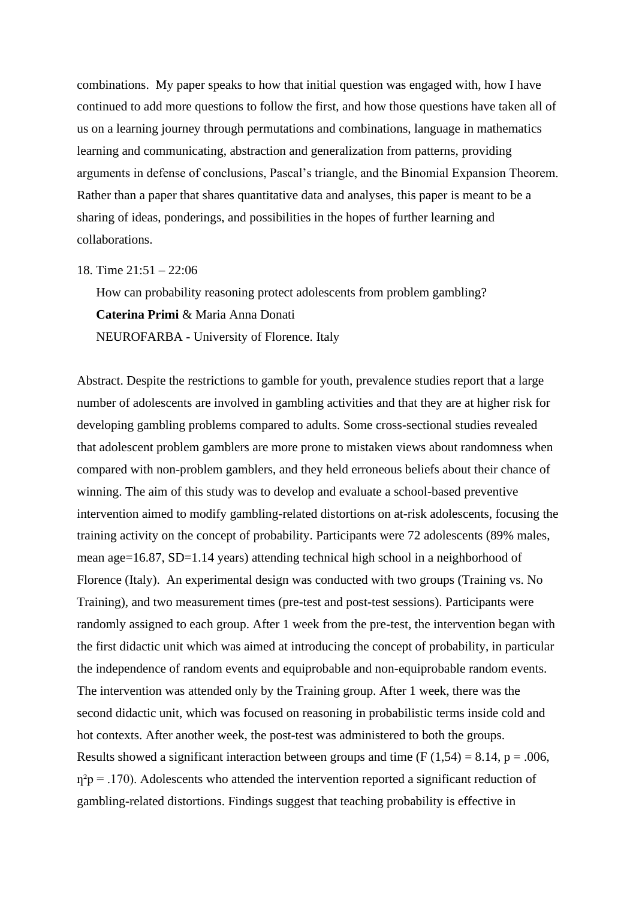combinations. My paper speaks to how that initial question was engaged with, how I have continued to add more questions to follow the first, and how those questions have taken all of us on a learning journey through permutations and combinations, language in mathematics learning and communicating, abstraction and generalization from patterns, providing arguments in defense of conclusions, Pascal's triangle, and the Binomial Expansion Theorem. Rather than a paper that shares quantitative data and analyses, this paper is meant to be a sharing of ideas, ponderings, and possibilities in the hopes of further learning and collaborations.

#### 18. Time 21:51 – 22:06

How can probability reasoning protect adolescents from problem gambling? **Caterina Primi** & Maria Anna Donati NEUROFARBA - University of Florence. Italy

Abstract. Despite the restrictions to gamble for youth, prevalence studies report that a large number of adolescents are involved in gambling activities and that they are at higher risk for developing gambling problems compared to adults. Some cross-sectional studies revealed that adolescent problem gamblers are more prone to mistaken views about randomness when compared with non-problem gamblers, and they held erroneous beliefs about their chance of winning. The aim of this study was to develop and evaluate a school-based preventive intervention aimed to modify gambling-related distortions on at-risk adolescents, focusing the training activity on the concept of probability. Participants were 72 adolescents (89% males, mean age=16.87, SD=1.14 years) attending technical high school in a neighborhood of Florence (Italy). An experimental design was conducted with two groups (Training vs. No Training), and two measurement times (pre-test and post-test sessions). Participants were randomly assigned to each group. After 1 week from the pre-test, the intervention began with the first didactic unit which was aimed at introducing the concept of probability, in particular the independence of random events and equiprobable and non-equiprobable random events. The intervention was attended only by the Training group. After 1 week, there was the second didactic unit, which was focused on reasoning in probabilistic terms inside cold and hot contexts. After another week, the post-test was administered to both the groups. Results showed a significant interaction between groups and time (F  $(1,54) = 8.14$ , p = .006,  $\eta^2$  p = .170). Adolescents who attended the intervention reported a significant reduction of gambling-related distortions. Findings suggest that teaching probability is effective in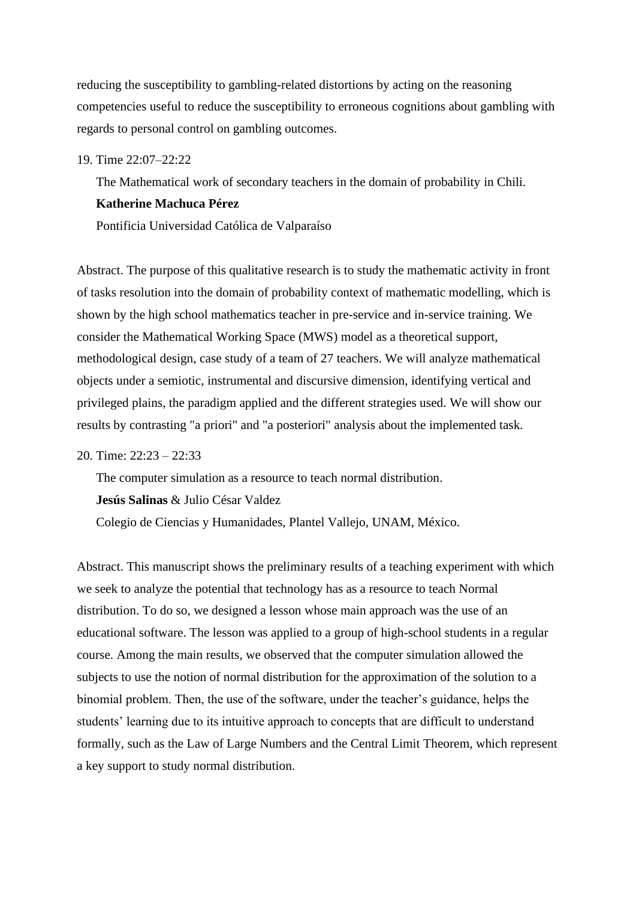reducing the susceptibility to gambling-related distortions by acting on the reasoning competencies useful to reduce the susceptibility to erroneous cognitions about gambling with regards to personal control on gambling outcomes.

19. Time 22:07–22:22

The Mathematical work of secondary teachers in the domain of probability in Chili. **Katherine Machuca Pérez**

Pontificia Universidad Católica de Valparaíso

Abstract. The purpose of this qualitative research is to study the mathematic activity in front of tasks resolution into the domain of probability context of mathematic modelling, which is shown by the high school mathematics teacher in pre-service and in-service training. We consider the Mathematical Working Space (MWS) model as a theoretical support, methodological design, case study of a team of 27 teachers. We will analyze mathematical objects under a semiotic, instrumental and discursive dimension, identifying vertical and privileged plains, the paradigm applied and the different strategies used. We will show our results by contrasting "a priori" and "a posteriori" analysis about the implemented task.

20. Time: 22:23 – 22:33

The computer simulation as a resource to teach normal distribution. **Jesús Salinas** & Julio César Valdez Colegio de Ciencias y Humanidades, Plantel Vallejo, UNAM, México.

Abstract. This manuscript shows the preliminary results of a teaching experiment with which we seek to analyze the potential that technology has as a resource to teach Normal distribution. To do so, we designed a lesson whose main approach was the use of an educational software. The lesson was applied to a group of high-school students in a regular course. Among the main results, we observed that the computer simulation allowed the subjects to use the notion of normal distribution for the approximation of the solution to a binomial problem. Then, the use of the software, under the teacher's guidance, helps the students' learning due to its intuitive approach to concepts that are difficult to understand formally, such as the Law of Large Numbers and the Central Limit Theorem, which represent a key support to study normal distribution.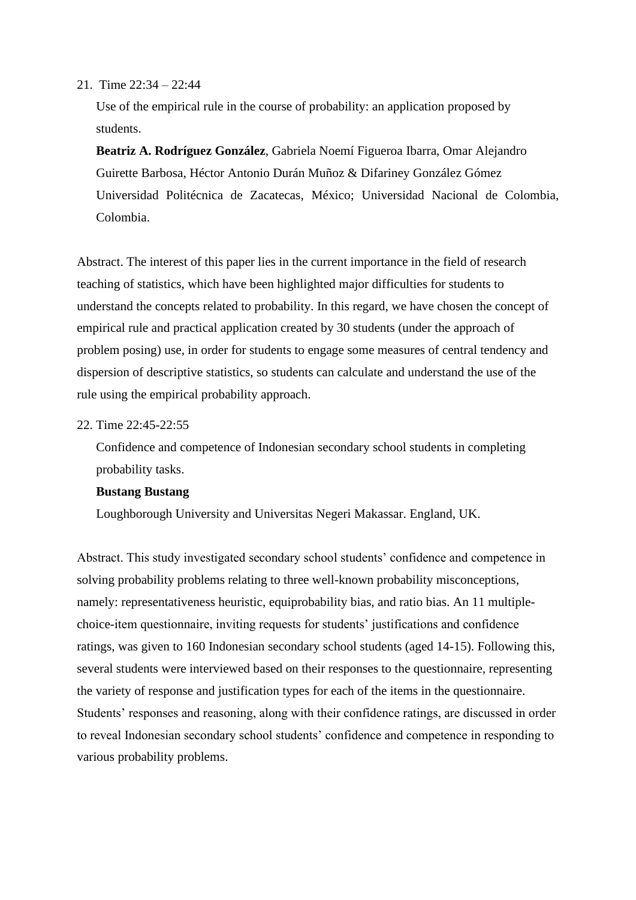#### 21. Time 22:34 – 22:44

Use of the empirical rule in the course of probability: an application proposed by students.

**Beatriz A. Rodríguez González**, Gabriela Noemí Figueroa Ibarra, Omar Alejandro Guirette Barbosa, Héctor Antonio Durán Muñoz & Difariney González Gómez Universidad Politécnica de Zacatecas, México; Universidad Nacional de Colombia, Colombia.

Abstract. The interest of this paper lies in the current importance in the field of research teaching of statistics, which have been highlighted major difficulties for students to understand the concepts related to probability. In this regard, we have chosen the concept of empirical rule and practical application created by 30 students (under the approach of problem posing) use, in order for students to engage some measures of central tendency and dispersion of descriptive statistics, so students can calculate and understand the use of the rule using the empirical probability approach.

#### 22. Time 22:45-22:55

Confidence and competence of Indonesian secondary school students in completing probability tasks.

## **Bustang Bustang**

Loughborough University and Universitas Negeri Makassar. England, UK.

Abstract. This study investigated secondary school students' confidence and competence in solving probability problems relating to three well-known probability misconceptions, namely: representativeness heuristic, equiprobability bias, and ratio bias. An 11 multiplechoice-item questionnaire, inviting requests for students' justifications and confidence ratings, was given to 160 Indonesian secondary school students (aged 14-15). Following this, several students were interviewed based on their responses to the questionnaire, representing the variety of response and justification types for each of the items in the questionnaire. Students' responses and reasoning, along with their confidence ratings, are discussed in order to reveal Indonesian secondary school students' confidence and competence in responding to various probability problems.